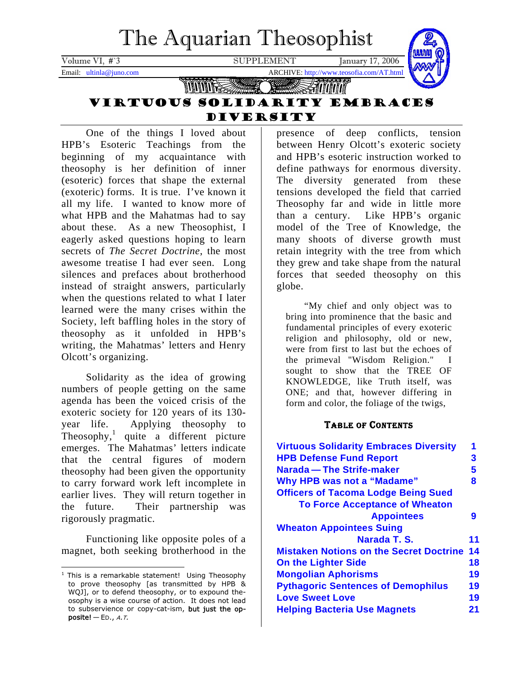<span id="page-0-1"></span>

One of the things I loved about HPB's Esoteric Teachings from the beginning of my acquaintance with theosophy is her definition of inner (esoteric) forces that shape the external (exoteric) forms. It is true. I've known it all my life. I wanted to know more of what HPB and the Mahatmas had to say about these. As a new Theosophist, I eagerly asked questions hoping to learn secrets of *The Secret Doctrine*, the most awesome treatise I had ever seen. Long silences and prefaces about brotherhood instead of straight answers, particularly when the questions related to what I later learned were the many crises within the Society, left baffling holes in the story of theosophy as it unfolded in HPB's writing, the Mahatmas' letters and Henry Olcott's organizing.

Solidarity as the idea of growing numbers of people getting on the same agenda has been the voiced crisis of the exoteric society for 120 years of its 130 year life. Applying theosophy to Theosophy,<sup>[1](#page-0-0)</sup> quite a different picture emerges. The Mahatmas' letters indicate that the central figures of modern theosophy had been given the opportunity to carry forward work left incomplete in earlier lives. They will return together in the future. Their partnership was rigorously pragmatic.

Functioning like opposite poles of a magnet, both seeking brotherhood in the

presence of deep conflicts, tension between Henry Olcott's exoteric society and HPB's esoteric instruction worked to define pathways for enormous diversity. The diversity generated from these tensions developed the field that carried Theosophy far and wide in little more than a century. Like HPB's organic model of the Tree of Knowledge, the many shoots of diverse growth must retain integrity with the tree from which they grew and take shape from the natural forces that seeded theosophy on this globe.

"My chief and only object was to bring into prominence that the basic and fundamental principles of every exoteric religion and philosophy, old or new, were from first to last but the echoes of the primeval "Wisdom Religion." I sought to show that the TREE OF KNOWLEDGE, like Truth itself, was ONE; and that, however differing in form and color, the foliage of the twigs,

## TABLE OF CONTENTS

| <b>Virtuous Solidarity Embraces Diversity</b>  | 1  |
|------------------------------------------------|----|
| <b>HPB Defense Fund Report</b>                 | 3  |
| Narada – The Strife-maker                      | 5  |
| <b>Why HPB was not a "Madame"</b>              | 8  |
| <b>Officers of Tacoma Lodge Being Sued</b>     |    |
| <b>To Force Acceptance of Wheaton</b>          |    |
| <b>Appointees</b>                              | 9  |
| <b>Wheaton Appointees Suing</b>                |    |
| Narada T. S.                                   | 11 |
| <b>Mistaken Notions on the Secret Doctrine</b> | 14 |
| <b>On the Lighter Side</b>                     | 18 |
| <b>Mongolian Aphorisms</b>                     | 19 |
| <b>Pythagoric Sentences of Demophilus</b>      | 19 |
| <b>Love Sweet Love</b>                         | 19 |
| <b>Helping Bacteria Use Magnets</b>            | 21 |

<span id="page-0-0"></span> 1 This is a remarkable statement! Using Theosophy to prove theosophy [as transmitted by HPB & WQJ], or to defend theosophy, or to expound theosophy is a wise course of action. It does not lead to subservience or copy-cat-ism, but just the opposite!  $-$  ED., A.T.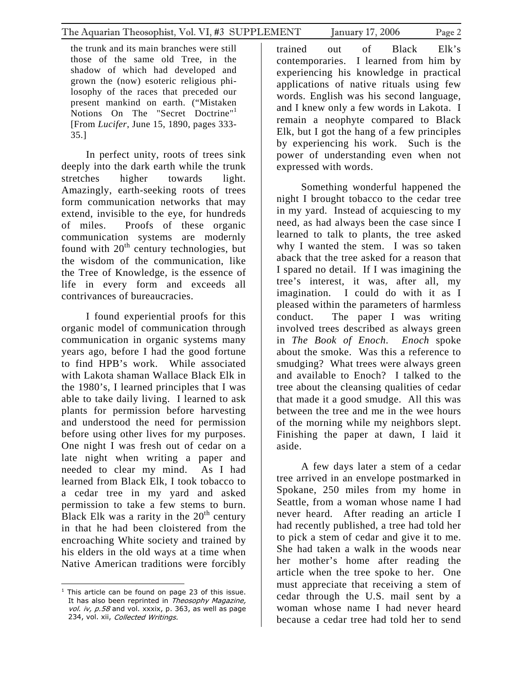the trunk and its main branches were still those of the same old Tree, in the shadow of which had developed and grown the (now) esoteric religious philosophy of the races that preceded our present mankind on earth. ("Mistaken Notions On The "Secret Doctrine"<sup>[1](#page-1-0)</sup> [From *Lucifer*, June 15, 1890, pages 333- 35.]

In perfect unity, roots of trees sink deeply into the dark earth while the trunk stretches higher towards light. Amazingly, earth-seeking roots of trees form communication networks that may extend, invisible to the eye, for hundreds of miles. Proofs of these organic communication systems are modernly found with  $20<sup>th</sup>$  century technologies, but the wisdom of the communication, like the Tree of Knowledge, is the essence of life in every form and exceeds all contrivances of bureaucracies.

I found experiential proofs for this organic model of communication through communication in organic systems many years ago, before I had the good fortune to find HPB's work. While associated with Lakota shaman Wallace Black Elk in the 1980's, I learned principles that I was able to take daily living. I learned to ask plants for permission before harvesting and understood the need for permission before using other lives for my purposes. One night I was fresh out of cedar on a late night when writing a paper and needed to clear my mind. As I had learned from Black Elk, I took tobacco to a cedar tree in my yard and asked permission to take a few stems to burn. Black Elk was a rarity in the  $20<sup>th</sup>$  century in that he had been cloistered from the encroaching White society and trained by his elders in the old ways at a time when Native American traditions were forcibly

trained out of Black Elk's contemporaries. I learned from him by experiencing his knowledge in practical applications of native rituals using few words. English was his second language, and I knew only a few words in Lakota. I remain a neophyte compared to Black Elk, but I got the hang of a few principles by experiencing his work. Such is the power of understanding even when not expressed with words.

Something wonderful happened the night I brought tobacco to the cedar tree in my yard. Instead of acquiescing to my need, as had always been the case since I learned to talk to plants, the tree asked why I wanted the stem. I was so taken aback that the tree asked for a reason that I spared no detail. If I was imagining the tree's interest, it was, after all, my imagination. I could do with it as I pleased within the parameters of harmless conduct. The paper I was writing involved trees described as always green in *The Book of Enoch*. *Enoch* spoke about the smoke. Was this a reference to smudging? What trees were always green and available to Enoch? I talked to the tree about the cleansing qualities of cedar that made it a good smudge. All this was between the tree and me in the wee hours of the morning while my neighbors slept. Finishing the paper at dawn, I laid it aside.

A few days later a stem of a cedar tree arrived in an envelope postmarked in Spokane, 250 miles from my home in Seattle, from a woman whose name I had never heard. After reading an article I had recently published, a tree had told her to pick a stem of cedar and give it to me. She had taken a walk in the woods near her mother's home after reading the article when the tree spoke to her. One must appreciate that receiving a stem of cedar through the U.S. mail sent by a woman whose name I had never heard because a cedar tree had told her to send

<span id="page-1-0"></span><sup>&</sup>lt;u>This article can be found on page</u> 23 of this issue. vol. iv, p.58 and vol. xxxix, p. 363, as well as page It has also been reprinted in Theosophy Magazine, 234, vol. xii, Collected Writings.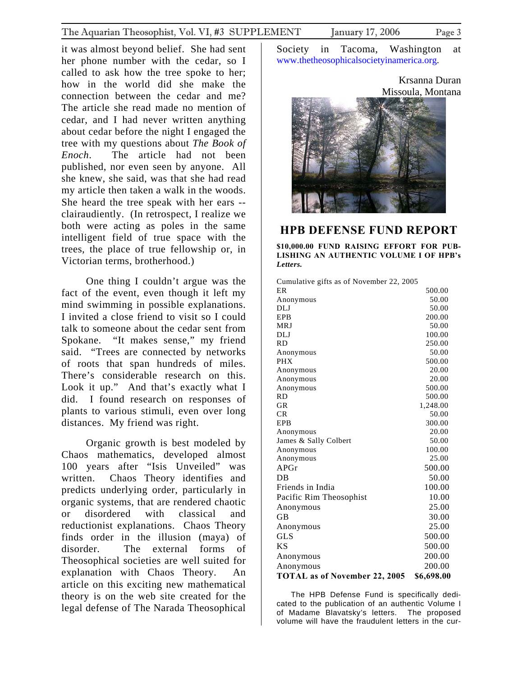<span id="page-2-0"></span>it was almost beyond belief. She had sent her phone number with the cedar, so I called to ask how the tree spoke to her; how in the world did she make the connection between the cedar and me? The article she read made no mention of cedar, and I had never written anything about cedar before the night I engaged the tree with my questions about *The Book of Enoch*. The article had not been published, nor even seen by anyone. All she knew, she said, was that she had read my article then taken a walk in the woods. She heard the tree speak with her ears - clairaudiently. (In retrospect, I realize we both were acting as poles in the same intelligent field of true space with the trees, the place of true fellowship or, in Victorian terms, brotherhood.)

One thing I couldn't argue was the fact of the event, even though it left my mind swimming in possible explanations. I invited a close friend to visit so I could talk to someone about the cedar sent from Spokane. "It makes sense," my friend said. "Trees are connected by networks of roots that span hundreds of miles. There's considerable research on this. Look it up." And that's exactly what I did. I found research on responses of plants to various stimuli, even over long distances. My friend was right.

Organic growth is best modeled by Chaos mathematics, developed almost 100 years after "Isis Unveiled" was written. Chaos Theory identifies and predicts underlying order, particularly in organic systems, that are rendered chaotic or disordered with classical and reductionist explanations. Chaos Theory finds order in the illusion (maya) of disorder. The external forms of Theosophical societies are well suited for explanation with Chaos Theory. An article on this exciting new mathematical theory is on the web site created for the legal defense of The Narada Theosophical

Society in Tacoma, Washington at [www.thetheosophicalsocietyinamerica.org.](http://www.thetheosophicalsocietyinamerica.org/)

> Krsanna Duran Missoula, Montana



## **HPB DEFENSE FUND REPORT**

**\$10,000.00 FUND RAISING EFFORT FOR PUB-LISHING AN AUTHENTIC VOLUME I OF HPB's**  *Letters.*

| Cumulative gifts as of November 22, 2005 |  |  |  |  |  |  |  |
|------------------------------------------|--|--|--|--|--|--|--|
|------------------------------------------|--|--|--|--|--|--|--|

| ER                                   | 500.00     |
|--------------------------------------|------------|
| Anonymous                            | 50.00      |
| DLJ                                  | 50.00      |
| EPB                                  | 200.00     |
| <b>MRJ</b>                           | 50.00      |
| DLJ                                  | 100.00     |
| <b>RD</b>                            | 250.00     |
| Anonymous                            | 50.00      |
| <b>PHX</b>                           | 500.00     |
| Anonymous                            | 20.00      |
| Anonymous                            | 20.00      |
| Anonymous                            | 500.00     |
| <b>RD</b>                            | 500.00     |
| <b>GR</b>                            | 1,248.00   |
| CR                                   | 50.00      |
| <b>EPB</b>                           | 300.00     |
| Anonymous                            | 20.00      |
| James & Sally Colbert                | 50.00      |
| Anonymous                            | 100.00     |
| Anonymous                            | 25.00      |
| APGr                                 | 500.00     |
| $DR$                                 | 50.00      |
| Friends in India                     | 100.00     |
| Pacific Rim Theosophist              | 10.00      |
| Anonymous                            | 25.00      |
| <b>GB</b>                            | 30.00      |
| Anonymous                            | 25.00      |
| <b>GLS</b>                           | 500.00     |
| <b>KS</b>                            | 500.00     |
| Anonymous                            | 200.00     |
| Anonymous                            | 200.00     |
| <b>TOTAL as of November 22, 2005</b> | \$6,698.00 |

The HPB Defense Fund is specifically dedicated to the publication of an authentic Volume I of Madame Blavatsky's letters. The proposed volume will have the fraudulent letters in the cur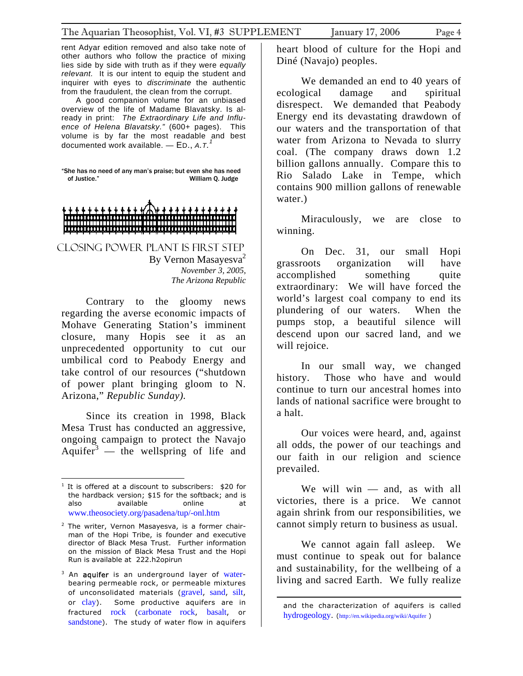rent Adyar edition removed and also take note of other authors who follow the practice of mixing lies side by side with truth as if they were *equally relevant.* It is our intent to equip the student and inquirer with eyes to *discriminate* the authentic from the fraudulent, the clean from the corrupt.

 A good companion volume for an unbiased overview of the life of Madame Blavatsky. Is already in print: *The Extraordinary Life and Influence of Helena Blavatsky."* (600+ pages). This volume is by far the most readable and best documented work available. — ED., *A.T. [1](#page-3-0)*

"She has no need of any man's praise; but even she has need of Justice." William Q. Judge



CLOSING POWER PLANT IS FIRST STEP By Vernon Masayesva<sup>2</sup> *November 3, 2005, The Arizona Republic* 

Contrary to the gloomy news regarding the averse economic impacts of Mohave Generating Station's imminent closure, many Hopis see it as an unprecedented opportunity to cut our umbilical cord to Peabody Energy and take control of our resources ("shutdown of power plant bringing gloom to N. Arizona," *Republic Sunday).*

Since its creation in 1998, Black Mesa Trust has conducted an aggressive, ongoing campaign to protect the Navajo Aquifer<sup>[3](#page-3-2)</sup> — the wellspring of life and

<u>.</u>

heart blood of culture for the Hopi and Diné (Navajo) peoples.

We demanded an end to 40 years of ecological damage and spiritual disrespect. We demanded that Peabody Energy end its devastating drawdown of our waters and the transportation of that water from Arizona to Nevada to slurry coal. (The company draws down 1.2 billion gallons annually. Compare this to Rio Salado Lake in Tempe, which contains 900 million gallons of renewable water.)

Miraculously, we are close to winning.

On Dec. 31, our small Hopi grassroots organization will have accomplished something quite extraordinary: We will have forced the world's largest coal company to end its plundering of our waters. When the pumps stop, a beautiful silence will descend upon our sacred land, and we will rejoice.

In our small way, we changed history. Those who have and would continue to turn our ancestral homes into lands of national sacrifice were brought to a halt.

Our voices were heard, and, against all odds, the power of our teachings and our faith in our religion and science prevailed.

We will win — and, as with all victories, there is a price. We cannot again shrink from our responsibilities, we cannot simply return to business as usual.

We cannot again fall asleep. We must continue to speak out for balance and sustainability, for the wellbeing of a living and sacred Earth. We fully realize

 $\overline{a}$ 

<span id="page-3-0"></span> $1$  It is offered at a discount to subscribers: \$20 for the hardback version; \$15 for the softback; and is also available online at [www.theosociety.org/pasadena/tup/-onl.htm](http://www.theosociety.org/pasadena/tup/-onl.htm)

<span id="page-3-1"></span><sup>&</sup>lt;sup>2</sup> The writer, Vernon Masayesva, is a former chairman of the Hopi Tribe, is founder and executive director of Black Mesa Trust. Further information on the mission of Black Mesa Trust and the Hopi Run is available at 222.h2opirun

<span id="page-3-2"></span><sup>&</sup>lt;sup>3</sup> An aquifer is an underground layer of [water](http://en.wikipedia.org/wiki/Water)bearing permeable rock, or permeable mixtures of unconsolidated materials ([gravel](http://en.wikipedia.org/wiki/Gravel), [sand](http://en.wikipedia.org/wiki/Sand), [silt](http://en.wikipedia.org/wiki/Silt), or [clay](http://en.wikipedia.org/wiki/Clay)). Some productive aquifers are in fractured [rock](http://en.wikipedia.org/wiki/Rock_%28geology%29) ([carbonate rock](http://en.wikipedia.org/wiki/Limestone), [basalt](http://en.wikipedia.org/wiki/Basalt), or [sandstone](http://en.wikipedia.org/wiki/Sandstone)). The study of water flow in aquifers

and the characterization of aquifers is called [hydrogeology](http://en.wikipedia.org/wiki/Hydrogeology). (<http://en.wikipedia.org/wiki/Aquifer> )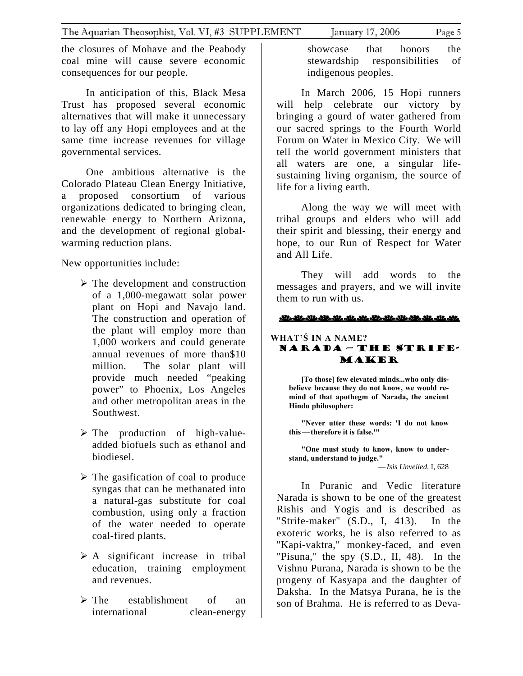<span id="page-4-0"></span>the closures of Mohave and the Peabody coal mine will cause severe economic consequences for our people.

In anticipation of this, Black Mesa Trust has proposed several economic alternatives that will make it unnecessary to lay off any Hopi employees and at the same time increase revenues for village governmental services.

One ambitious alternative is the Colorado Plateau Clean Energy Initiative, a proposed consortium of various organizations dedicated to bringing clean, renewable energy to Northern Arizona, and the development of regional globalwarming reduction plans.

New opportunities include:

- $\triangleright$  The development and construction of a 1,000-megawatt solar power plant on Hopi and Navajo land. The construction and operation of the plant will employ more than 1,000 workers and could generate annual revenues of more than\$10 million. The solar plant will provide much needed "peaking power" to Phoenix, Los Angeles and other metropolitan areas in the Southwest.
- $\triangleright$  The production of high-valueadded biofuels such as ethanol and biodiesel.
- $\triangleright$  The gasification of coal to produce syngas that can be methanated into a natural-gas substitute for coal combustion, using only a fraction of the water needed to operate coal-fired plants.
- $\triangleright$  A significant increase in tribal education, training employment and revenues.
- $\triangleright$  The establishment of an international clean-energy

showcase that honors the stewardship responsibilities of indigenous peoples.

In March 2006, 15 Hopi runners will help celebrate our victory by bringing a gourd of water gathered from our sacred springs to the Fourth World Forum on Water in Mexico City. We will tell the world government ministers that all waters are one, a singular lifesustaining living organism, the source of life for a living earth.

Along the way we will meet with tribal groups and elders who will add their spirit and blessing, their energy and hope, to our Run of Respect for Water and All Life.

They will add words to the messages and prayers, and we will invite them to run with us.

### عائد مائد مائد مائلہ مائلہ مائلہ مائلہ مائلہ مائلہ مائلہ مائلہ مائلہ

## **WHAT'Ś IN A NAME?** Narada — The Strife-Maker

**[To those] few elevated minds...who only disbelieve because they do not know, we would remind of that apothegm of Narada, the ancient Hindu philosopher:**

**"Never utter these words: 'I do not know this—therefore it is false.'"** 

**"One must study to know, know to understand, understand to judge."**  —*Isis Unveiled*, I, 628

In Puranic and Vedic literature Narada is shown to be one of the greatest Rishis and Yogis and is described as "Strife-maker" (S.D., I, 413). In the exoteric works, he is also referred to as "Kapi-vaktra," monkey-faced, and even "Pisuna," the spy (S.D., II, 48). In the Vishnu Purana, Narada is shown to be the progeny of Kasyapa and the daughter of Daksha. In the Matsya Purana, he is the son of Brahma. He is referred to as Deva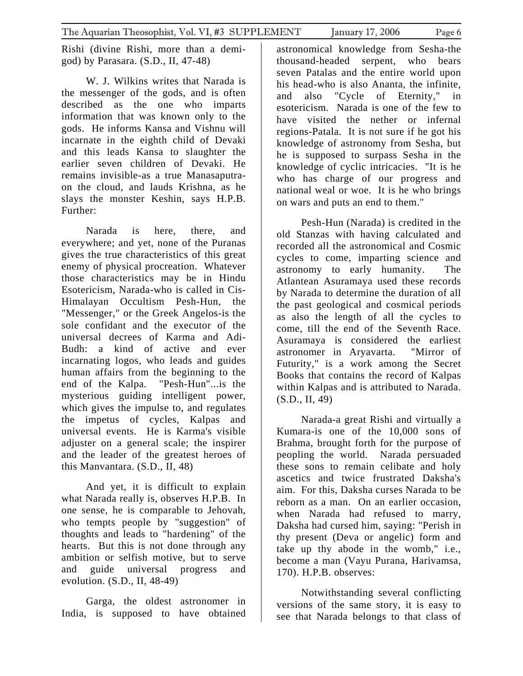Rishi (divine Rishi, more than a demigod) by Parasara. (S.D., II, 47-48)

W. J. Wilkins writes that Narada is the messenger of the gods, and is often described as the one who imparts information that was known only to the gods. He informs Kansa and Vishnu will incarnate in the eighth child of Devaki and this leads Kansa to slaughter the earlier seven children of Devaki. He remains invisible-as a true Manasaputraon the cloud, and lauds Krishna, as he slays the monster Keshin, says H.P.B. Further:

Narada is here, there, and everywhere; and yet, none of the Puranas gives the true characteristics of this great enemy of physical procreation. Whatever those characteristics may be in Hindu Esotericism, Narada-who is called in Cis-Himalayan Occultism Pesh-Hun, the "Messenger," or the Greek Angelos-is the sole confidant and the executor of the universal decrees of Karma and Adi-Budh: a kind of active and ever incarnating logos, who leads and guides human affairs from the beginning to the end of the Kalpa. "Pesh-Hun"...is the mysterious guiding intelligent power, which gives the impulse to, and regulates the impetus of cycles, Kalpas and universal events. He is Karma's visible adjuster on a general scale; the inspirer and the leader of the greatest heroes of this Manvantara. (S.D., II, 48)

And yet, it is difficult to explain what Narada really is, observes H.P.B. In one sense, he is comparable to Jehovah, who tempts people by "suggestion" of thoughts and leads to "hardening" of the hearts. But this is not done through any ambition or selfish motive, but to serve and guide universal progress and evolution. (S.D., II, 48-49)

Garga, the oldest astronomer in India, is supposed to have obtained

astronomical knowledge from Sesha-the thousand-headed serpent, who bears seven Patalas and the entire world upon his head-who is also Ananta, the infinite, and also "Cycle of Eternity," in esotericism. Narada is one of the few to have visited the nether or infernal regions-Patala. It is not sure if he got his knowledge of astronomy from Sesha, but he is supposed to surpass Sesha in the knowledge of cyclic intricacies. "It is he who has charge of our progress and national weal or woe. It is he who brings on wars and puts an end to them."

Pesh-Hun (Narada) is credited in the old Stanzas with having calculated and recorded all the astronomical and Cosmic cycles to come, imparting science and astronomy to early humanity. The Atlantean Asuramaya used these records by Narada to determine the duration of all the past geological and cosmical periods as also the length of all the cycles to come, till the end of the Seventh Race. Asuramaya is considered the earliest astronomer in Aryavarta. "Mirror of Futurity," is a work among the Secret Books that contains the record of Kalpas within Kalpas and is attributed to Narada. (S.D., II, 49)

Narada-a great Rishi and virtually a Kumara-is one of the 10,000 sons of Brahma, brought forth for the purpose of peopling the world. Narada persuaded these sons to remain celibate and holy ascetics and twice frustrated Daksha's aim. For this, Daksha curses Narada to be reborn as a man. On an earlier occasion, when Narada had refused to marry, Daksha had cursed him, saying: "Perish in thy present (Deva or angelic) form and take up thy abode in the womb," i.e., become a man (Vayu Purana, Harivamsa, 170). H.P.B. observes:

Notwithstanding several conflicting versions of the same story, it is easy to see that Narada belongs to that class of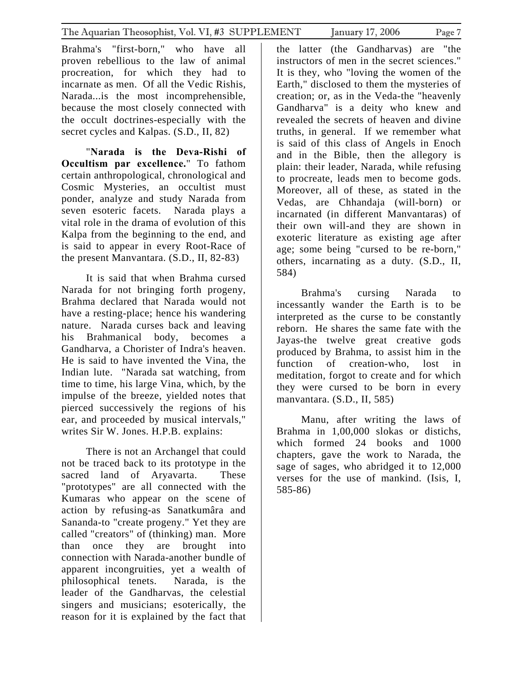Brahma's "first-born," who have all proven rebellious to the law of animal procreation, for which they had to incarnate as men. Of all the Vedic Rishis, Narada...is the most incomprehensible, because the most closely connected with the occult doctrines-especially with the secret cycles and Kalpas. (S.D., II, 82)

"**Narada is the Deva-Rishi of Occultism par excellence.**" To fathom certain anthropological, chronological and Cosmic Mysteries, an occultist must ponder, analyze and study Narada from seven esoteric facets. Narada plays a vital role in the drama of evolution of this Kalpa from the beginning to the end, and is said to appear in every Root-Race of the present Manvantara. (S.D., II, 82-83)

It is said that when Brahma cursed Narada for not bringing forth progeny, Brahma declared that Narada would not have a resting-place; hence his wandering nature. Narada curses back and leaving his Brahmanical body, becomes a Gandharva, a Chorister of Indra's heaven. He is said to have invented the Vina, the Indian lute. "Narada sat watching, from time to time, his large Vina, which, by the impulse of the breeze, yielded notes that pierced successively the regions of his ear, and proceeded by musical intervals," writes Sir W. Jones. H.P.B. explains:

There is not an Archangel that could not be traced back to its prototype in the sacred land of Aryavarta. These "prototypes" are all connected with the Kumaras who appear on the scene of action by refusing-as Sanatkumâra and Sananda-to "create progeny." Yet they are called "creators" of (thinking) man. More than once they are brought into connection with Narada-another bundle of apparent incongruities, yet a wealth of philosophical tenets. Narada, is the leader of the Gandharvas, the celestial singers and musicians; esoterically, the reason for it is explained by the fact that

the latter (the Gandharvas) are "the instructors of men in the secret sciences." It is they, who "loving the women of the Earth," disclosed to them the mysteries of creation; or, as in the Veda-the "heavenly Gandharva" is a deity who knew and revealed the secrets of heaven and divine truths, in general. If we remember what is said of this class of Angels in Enoch and in the Bible, then the allegory is plain: their leader, Narada, while refusing to procreate, leads men to become gods. Moreover, all of these, as stated in the Vedas, are Chhandaja (will-born) or incarnated (in different Manvantaras) of their own will-and they are shown in exoteric literature as existing age after age; some being "cursed to be re-born," others, incarnating as a duty. (S.D., II, 584)

Brahma's cursing Narada to incessantly wander the Earth is to be interpreted as the curse to be constantly reborn. He shares the same fate with the Jayas-the twelve great creative gods produced by Brahma, to assist him in the function of creation-who, lost in meditation, forgot to create and for which they were cursed to be born in every manvantara. (S.D., II, 585)

Manu, after writing the laws of Brahma in 1,00,000 slokas or distichs, which formed 24 books and 1000 chapters, gave the work to Narada, the sage of sages, who abridged it to 12,000 verses for the use of mankind. (Isis, I, 585-86)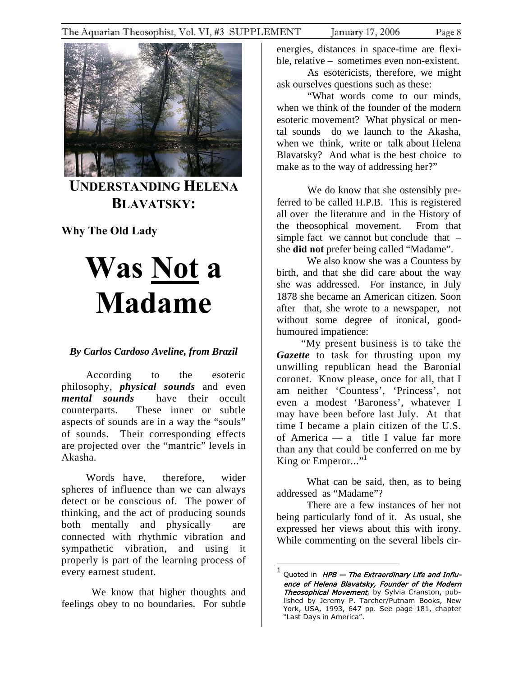<span id="page-7-0"></span>

**UNDERSTANDING HELENA BLAVATSKY:**

**Why The Old Lady** 

# **Was Not a Madame**

## *By Carlos Cardoso Aveline, from Brazil*

According to the esoteric philosophy, *physical sounds* and even *mental sounds* have their occult counterparts. These inner or subtle aspects of sounds are in a way the "souls" of sounds. Their corresponding effects are projected over the "mantric" levels in Akasha.

Words have, therefore, wider spheres of influence than we can always detect or be conscious of. The power of thinking, and the act of producing sounds both mentally and physically are connected with rhythmic vibration and sympathetic vibration, and using it properly is part of the learning process of every earnest student.

We know that higher thoughts and feelings obey to no boundaries. For subtle

energies, distances in space-time are flexible, relative – sometimes even non-existent.

As esotericists, therefore, we might ask ourselves questions such as these:

"What words come to our minds, when we think of the founder of the modern esoteric movement? What physical or mental sounds do we launch to the Akasha, when we think, write or talk about Helena Blavatsky? And what is the best choice to make as to the way of addressing her?"

We do know that she ostensibly preferred to be called H.P.B. This is registered all over the literature and in the History of the theosophical movement. From that simple fact we cannot but conclude that – she **did not** prefer being called "Madame".

We also know she was a Countess by birth, and that she did care about the way she was addressed. For instance, in July 1878 she became an American citizen. Soon after that, she wrote to a newspaper, not without some degree of ironical, goodhumoured impatience:

"My present business is to take the *Gazette* to task for thrusting upon my unwilling republican head the Baronial coronet. Know please, once for all, that I am neither 'Countess', 'Princess', not even a modest 'Baroness', whatever I may have been before last July. At that time I became a plain citizen of the U.S. of America — a title I value far more than any that could be conferred on me by King or Emperor..." $^1$  $^1$ 

What can be said, then, as to being addressed as "Madame"?

There are a few instances of her not being particularly fond of it. As usual, she expressed her views about this with irony. While commenting on the several libels cir-

 $\overline{a}$ 

<span id="page-7-1"></span>Quoted in HPB - The Extraordinary Life and Influence of Helena Blavatsky, Founder of the Modern 1 Theosophical Movement, by Sylvia Cranston, published by Jeremy P. Tarcher/Putnam Books, New York, USA, 1993, 647 pp. See page 181, chapter "Last Days in America".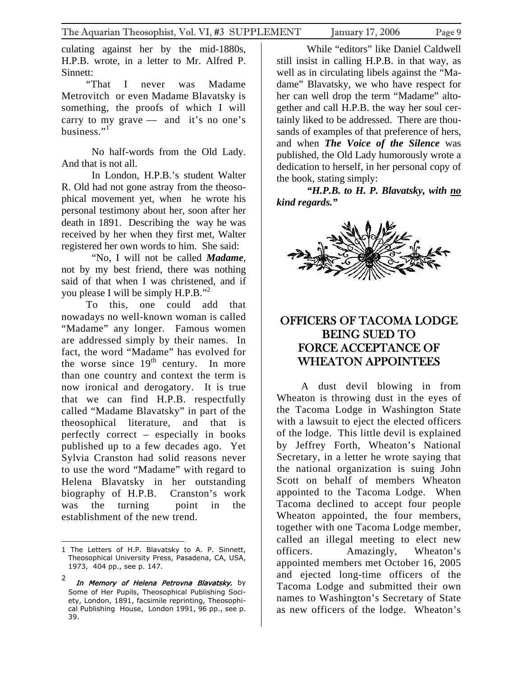<span id="page-8-0"></span>culating against her by the mid-1880s, H.P.B. wrote, in a letter to Mr. Alfred P. Sinnett:

"That I never was Madame Metrovitch or even Madame Blavatsky is something, the proofs of which I will carry to my grave  $-$  and it's no one's business." $1$ 

No half-words from the Old Lady. And that is not all.

In London, H.P.B.'s student Walter R. Old had not gone astray from the theosophical movement yet, when he wrote his personal testimony about her, soon after her death in 1891. Describing the way he was received by her when they first met, Walter registered her own words to him. She said:

"No, I will not be called *Madame*, not by my best friend, there was nothing said of that when I was christened, and if you please I will be simply H.P.B.["2](#page-8-2)

To this, one could add that nowadays no well-known woman is called "Madame" any longer. Famous women are addressed simply by their names. In fact, the word "Madame" has evolved for the worse since  $19<sup>th</sup>$  century. In more than one country and context the term is now ironical and derogatory. It is true that we can find H.P.B. respectfully called "Madame Blavatsky" in part of the theosophical literature, and that is perfectly correct – especially in books published up to a few decades ago. Yet Sylvia Cranston had solid reasons never to use the word "Madame" with regard to Helena Blavatsky in her outstanding biography of H.P.B. Cranston's work was the turning point in the establishment of the new trend.

1

While "editors" like Daniel Caldwell still insist in calling H.P.B. in that way, as well as in circulating libels against the "Madame" Blavatsky, we who have respect for her can well drop the term "Madame" altogether and call H.P.B. the way her soul certainly liked to be addressed. There are thousands of examples of that preference of hers, and when *The Voice of the Silence* was published, the Old Lady humorously wrote a dedication to herself, in her personal copy of the book, stating simply:

*"H.P.B. to H. P. Blavatsky, with no kind regards."* 



## OFFICERS OF TACOMA LODGE BEING SUED TO FORCE ACCEPTANCE OF WHEATON APPOINTEES

A dust devil blowing in from Wheaton is throwing dust in the eyes of the Tacoma Lodge in Washington State with a lawsuit to eject the elected officers of the lodge. This little devil is explained by Jeffrey Forth, Wheaton's National Secretary, in a letter he wrote saying that the national organization is suing John Scott on behalf of members Wheaton appointed to the Tacoma Lodge. When Tacoma declined to accept four people Wheaton appointed, the four members, together with one Tacoma Lodge member, called an illegal meeting to elect new officers. Amazingly, Wheaton's appointed members met October 16, 2005 and ejected long-time officers of the Tacoma Lodge and submitted their own names to Washington's Secretary of State as new officers of the lodge. Wheaton's

<span id="page-8-1"></span><sup>1</sup> The Letters of H.P. Blavatsky to A. P. Sinnett, Theosophical University Press, Pasadena, CA, USA, 1973, 404 pp., see p. 147.

<span id="page-8-2"></span><sup>2</sup> In Memory of Helena Petrovna Blavatsky, by Some of Her Pupils, Theosophical Publishing Society, London, 1891, facsimile reprinting, Theosophical Publishing House, London 1991, 96 pp., see p. 39.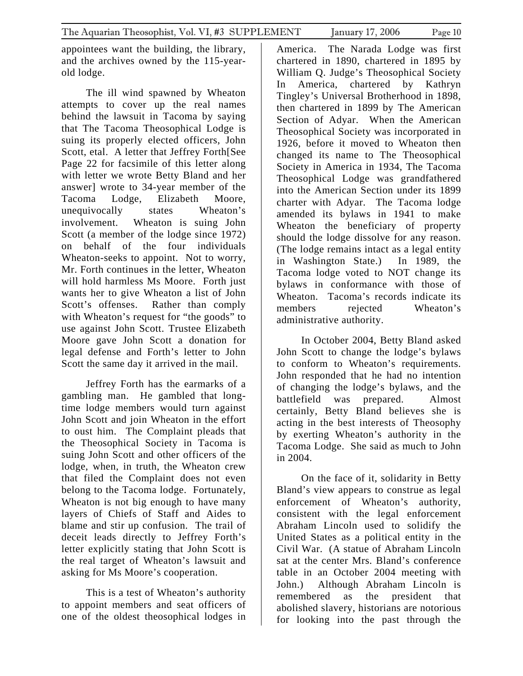appointees want the building, the library, and the archives owned by the 115-yearold lodge.

The ill wind spawned by Wheaton attempts to cover up the real names behind the lawsuit in Tacoma by saying that The Tacoma Theosophical Lodge is suing its properly elected officers, John Scott, etal. A letter that Jeffrey Forth[See Page 22 for facsimile of this letter along with letter we wrote Betty Bland and her answer] wrote to 34-year member of the Tacoma Lodge, Elizabeth Moore, unequivocally states Wheaton's involvement. Wheaton is suing John Scott (a member of the lodge since 1972) on behalf of the four individuals Wheaton-seeks to appoint. Not to worry, Mr. Forth continues in the letter, Wheaton will hold harmless Ms Moore. Forth just wants her to give Wheaton a list of John Scott's offenses. Rather than comply with Wheaton's request for "the goods" to use against John Scott. Trustee Elizabeth Moore gave John Scott a donation for legal defense and Forth's letter to John Scott the same day it arrived in the mail.

Jeffrey Forth has the earmarks of a gambling man. He gambled that longtime lodge members would turn against John Scott and join Wheaton in the effort to oust him. The Complaint pleads that the Theosophical Society in Tacoma is suing John Scott and other officers of the lodge, when, in truth, the Wheaton crew that filed the Complaint does not even belong to the Tacoma lodge. Fortunately, Wheaton is not big enough to have many layers of Chiefs of Staff and Aides to blame and stir up confusion. The trail of deceit leads directly to Jeffrey Forth's letter explicitly stating that John Scott is the real target of Wheaton's lawsuit and asking for Ms Moore's cooperation.

This is a test of Wheaton's authority to appoint members and seat officers of one of the oldest theosophical lodges in

America. The Narada Lodge was first chartered in 1890, chartered in 1895 by William Q. Judge's Theosophical Society In America, chartered by Kathryn Tingley's Universal Brotherhood in 1898, then chartered in 1899 by The American Section of Adyar. When the American Theosophical Society was incorporated in 1926, before it moved to Wheaton then changed its name to The Theosophical Society in America in 1934, The Tacoma Theosophical Lodge was grandfathered into the American Section under its 1899 charter with Adyar. The Tacoma lodge amended its bylaws in 1941 to make Wheaton the beneficiary of property should the lodge dissolve for any reason. (The lodge remains intact as a legal entity in Washington State.) In 1989, the Tacoma lodge voted to NOT change its bylaws in conformance with those of Wheaton. Tacoma's records indicate its members rejected Wheaton's administrative authority.

In October 2004, Betty Bland asked John Scott to change the lodge's bylaws to conform to Wheaton's requirements. John responded that he had no intention of changing the lodge's bylaws, and the battlefield was prepared. Almost certainly, Betty Bland believes she is acting in the best interests of Theosophy by exerting Wheaton's authority in the Tacoma Lodge. She said as much to John in 2004.

On the face of it, solidarity in Betty Bland's view appears to construe as legal enforcement of Wheaton's authority, consistent with the legal enforcement Abraham Lincoln used to solidify the United States as a political entity in the Civil War. (A statue of Abraham Lincoln sat at the center Mrs. Bland's conference table in an October 2004 meeting with John.) Although Abraham Lincoln is remembered as the president that abolished slavery, historians are notorious for looking into the past through the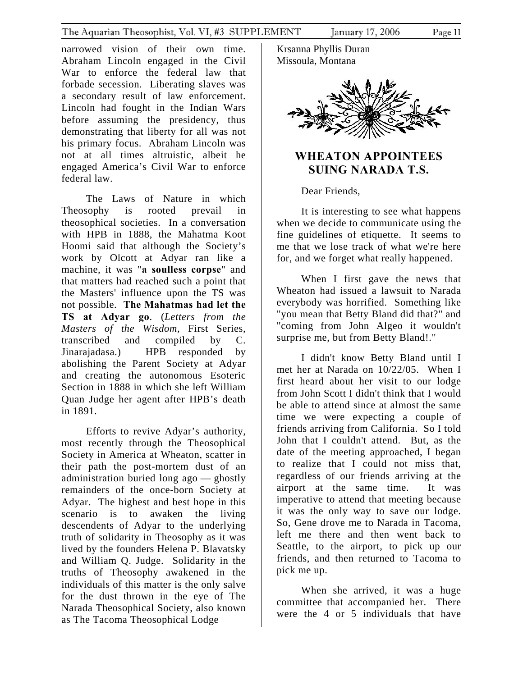<span id="page-10-0"></span>narrowed vision of their own time. Abraham Lincoln engaged in the Civil War to enforce the federal law that forbade secession. Liberating slaves was a secondary result of law enforcement. Lincoln had fought in the Indian Wars before assuming the presidency, thus demonstrating that liberty for all was not his primary focus. Abraham Lincoln was not at all times altruistic, albeit he engaged America's Civil War to enforce federal law.

The Laws of Nature in which Theosophy is rooted prevail in theosophical societies. In a conversation with HPB in 1888, the Mahatma Koot Hoomi said that although the Society's work by Olcott at Adyar ran like a machine, it was "**a soulless corpse**" and that matters had reached such a point that the Masters' influence upon the TS was not possible. **The Mahatmas had let the TS at Adyar go**. (*Letters from the Masters of the Wisdom,* First Series, transcribed and compiled by C. Jinarajadasa.) HPB responded by abolishing the Parent Society at Adyar and creating the autonomous Esoteric Section in 1888 in which she left William Quan Judge her agent after HPB's death in 1891.

Efforts to revive Adyar's authority, most recently through the Theosophical Society in America at Wheaton, scatter in their path the post-mortem dust of an administration buried long ago — ghostly remainders of the once-born Society at Adyar. The highest and best hope in this scenario is to awaken the living descendents of Adyar to the underlying truth of solidarity in Theosophy as it was lived by the founders Helena P. Blavatsky and William Q. Judge. Solidarity in the truths of Theosophy awakened in the individuals of this matter is the only salve for the dust thrown in the eye of The Narada Theosophical Society, also known as The Tacoma Theosophical Lodge

Krsanna Phyllis Duran Missoula, Montana



# **WHEATON APPOINTEES SUING NARADA T.S.**

Dear Friends,

It is interesting to see what happens when we decide to communicate using the fine guidelines of etiquette. It seems to me that we lose track of what we're here for, and we forget what really happened.

When I first gave the news that Wheaton had issued a lawsuit to Narada everybody was horrified. Something like "you mean that Betty Bland did that?" and "coming from John Algeo it wouldn't surprise me, but from Betty Bland!."

I didn't know Betty Bland until I met her at Narada on 10/22/05. When I first heard about her visit to our lodge from John Scott I didn't think that I would be able to attend since at almost the same time we were expecting a couple of friends arriving from California. So I told John that I couldn't attend. But, as the date of the meeting approached, I began to realize that I could not miss that, regardless of our friends arriving at the airport at the same time. It was imperative to attend that meeting because it was the only way to save our lodge. So, Gene drove me to Narada in Tacoma, left me there and then went back to Seattle, to the airport, to pick up our friends, and then returned to Tacoma to pick me up.

When she arrived, it was a huge committee that accompanied her. There were the 4 or 5 individuals that have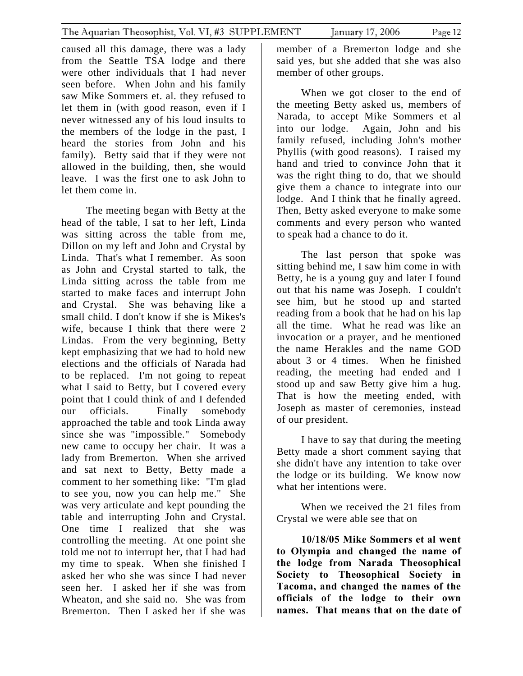caused all this damage, there was a lady from the Seattle TSA lodge and there were other individuals that I had never seen before. When John and his family saw Mike Sommers et. al. they refused to let them in (with good reason, even if I never witnessed any of his loud insults to the members of the lodge in the past, I heard the stories from John and his family). Betty said that if they were not allowed in the building, then, she would leave. I was the first one to ask John to let them come in.

The meeting began with Betty at the head of the table, I sat to her left, Linda was sitting across the table from me, Dillon on my left and John and Crystal by Linda. That's what I remember. As soon as John and Crystal started to talk, the Linda sitting across the table from me started to make faces and interrupt John and Crystal. She was behaving like a small child. I don't know if she is Mikes's wife, because I think that there were 2 Lindas. From the very beginning, Betty kept emphasizing that we had to hold new elections and the officials of Narada had to be replaced. I'm not going to repeat what I said to Betty, but I covered every point that I could think of and I defended our officials. Finally somebody approached the table and took Linda away since she was "impossible." Somebody new came to occupy her chair. It was a lady from Bremerton. When she arrived and sat next to Betty, Betty made a comment to her something like: "I'm glad to see you, now you can help me." She was very articulate and kept pounding the table and interrupting John and Crystal. One time I realized that she was controlling the meeting. At one point she told me not to interrupt her, that I had had my time to speak. When she finished I asked her who she was since I had never seen her. I asked her if she was from Wheaton, and she said no. She was from Bremerton. Then I asked her if she was

member of a Bremerton lodge and she said yes, but she added that she was also member of other groups.

When we got closer to the end of the meeting Betty asked us, members of Narada, to accept Mike Sommers et al into our lodge. Again, John and his family refused, including John's mother Phyllis (with good reasons). I raised my hand and tried to convince John that it was the right thing to do, that we should give them a chance to integrate into our lodge. And I think that he finally agreed. Then, Betty asked everyone to make some comments and every person who wanted to speak had a chance to do it.

The last person that spoke was sitting behind me, I saw him come in with Betty, he is a young guy and later I found out that his name was Joseph. I couldn't see him, but he stood up and started reading from a book that he had on his lap all the time. What he read was like an invocation or a prayer, and he mentioned the name Herakles and the name GOD about 3 or 4 times. When he finished reading, the meeting had ended and I stood up and saw Betty give him a hug. That is how the meeting ended, with Joseph as master of ceremonies, instead of our president.

I have to say that during the meeting Betty made a short comment saying that she didn't have any intention to take over the lodge or its building. We know now what her intentions were.

When we received the 21 files from Crystal we were able see that on

**10/18/05 Mike Sommers et al went to Olympia and changed the name of the lodge from Narada Theosophical Society to Theosophical Society in Tacoma, and changed the names of the officials of the lodge to their own names. That means that on the date of**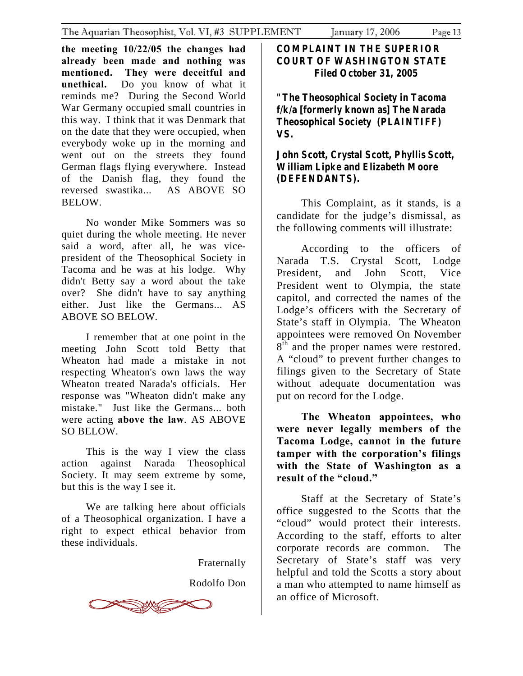**the meeting 10/22/05 the changes had already been made and nothing was mentioned. They were deceitful and unethical.** Do you know of what it reminds me? During the Second World War Germany occupied small countries in this way. I think that it was Denmark that on the date that they were occupied, when everybody woke up in the morning and went out on the streets they found German flags flying everywhere. Instead of the Danish flag, they found the reversed swastika... AS ABOVE SO BELOW.

No wonder Mike Sommers was so quiet during the whole meeting. He never said a word, after all, he was vicepresident of the Theosophical Society in Tacoma and he was at his lodge. Why didn't Betty say a word about the take over? She didn't have to say anything either. Just like the Germans... AS ABOVE SO BELOW.

I remember that at one point in the meeting John Scott told Betty that Wheaton had made a mistake in not respecting Wheaton's own laws the way Wheaton treated Narada's officials. Her response was "Wheaton didn't make any mistake." Just like the Germans... both were acting **above the law**. AS ABOVE SO BELOW.

This is the way I view the class action against Narada Theosophical Society. It may seem extreme by some, but this is the way I see it.

We are talking here about officials of a Theosophical organization. I have a right to expect ethical behavior from these individuals.

Fraternally

Rodolfo Don



**COMPLAINT IN THE SUPERIOR COURT OF WASHINGTON STATE Filed October 31, 2005** 

**"The Theosophical Society in Tacoma f/k/a [formerly known as] The Narada Theosophical Society (PLAINTIFF) VS.** 

## **John Scott, Crystal Scott, Phyllis Scott, William Lipke and Elizabeth Moore (DEFENDANTS).**

This Complaint, as it stands, is a candidate for the judge's dismissal, as the following comments will illustrate:

According to the officers of Narada T.S. Crystal Scott, Lodge President, and John Scott, Vice President went to Olympia, the state capitol, and corrected the names of the Lodge's officers with the Secretary of State's staff in Olympia. The Wheaton appointees were removed On November 8<sup>th</sup> and the proper names were restored. A "cloud" to prevent further changes to filings given to the Secretary of State without adequate documentation was put on record for the Lodge.

**The Wheaton appointees, who were never legally members of the Tacoma Lodge, cannot in the future tamper with the corporation's filings with the State of Washington as a result of the "cloud."** 

Staff at the Secretary of State's office suggested to the Scotts that the "cloud" would protect their interests. According to the staff, efforts to alter corporate records are common. The Secretary of State's staff was very helpful and told the Scotts a story about a man who attempted to name himself as an office of Microsoft.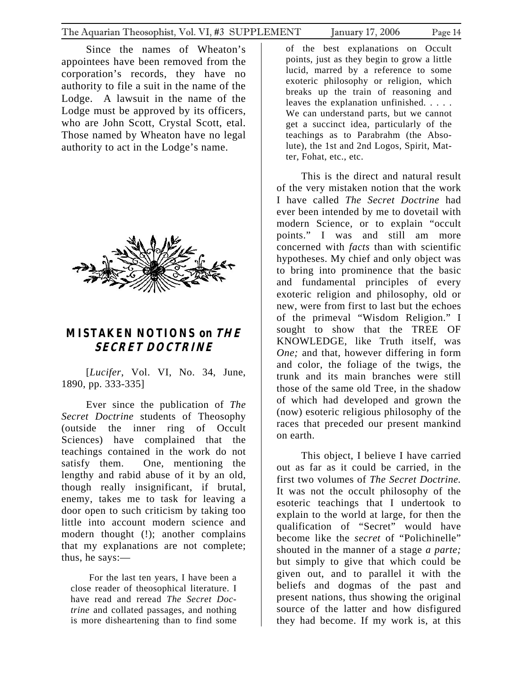<span id="page-13-0"></span>Since the names of Wheaton's appointees have been removed from the corporation's records, they have no authority to file a suit in the name of the Lodge. A lawsuit in the name of the Lodge must be approved by its officers, who are John Scott, Crystal Scott, etal. Those named by Wheaton have no legal authority to act in the Lodge's name.



# **MISTAKEN NOTIONS on THE SECRET DOCTRINE**

[*Lucifer*, Vol. VI, No. 34, June, 1890, pp. 333-335]

Ever since the publication of *The Secret Doctrine* students of Theosophy (outside the inner ring of Occult Sciences) have complained that the teachings contained in the work do not satisfy them. One, mentioning the lengthy and rabid abuse of it by an old, though really insignificant, if brutal, enemy, takes me to task for leaving a door open to such criticism by taking too little into account modern science and modern thought (!); another complains that my explanations are not complete; thus, he says:—

For the last ten years, I have been a close reader of theosophical literature. I have read and reread *The Secret Doctrine* and collated passages, and nothing is more disheartening than to find some

of the best explanations on Occult points, just as they begin to grow a little lucid, marred by a reference to some exoteric philosophy or religion, which breaks up the train of reasoning and leaves the explanation unfinished. . . . . We can understand parts, but we cannot get a succinct idea, particularly of the teachings as to Parabrahm (the Absolute), the 1st and 2nd Logos, Spirit, Matter, Fohat, etc., etc.

This is the direct and natural result of the very mistaken notion that the work I have called *The Secret Doctrine* had ever been intended by me to dovetail with modern Science, or to explain "occult points." I was and still am more concerned with *facts* than with scientific hypotheses. My chief and only object was to bring into prominence that the basic and fundamental principles of every exoteric religion and philosophy, old or new, were from first to last but the echoes of the primeval "Wisdom Religion." I sought to show that the TREE OF KNOWLEDGE, like Truth itself, was *One;* and that, however differing in form and color, the foliage of the twigs, the trunk and its main branches were still those of the same old Tree, in the shadow of which had developed and grown the (now) esoteric religious philosophy of the races that preceded our present mankind on earth.

This object, I believe I have carried out as far as it could be carried, in the first two volumes of *The Secret Doctrine.*  It was not the occult philosophy of the esoteric teachings that I undertook to explain to the world at large, for then the qualification of "Secret" would have become like the *secret* of "Polichinelle" shouted in the manner of a stage *a parte;*  but simply to give that which could be given out, and to parallel it with the beliefs and dogmas of the past and present nations, thus showing the original source of the latter and how disfigured they had become. If my work is, at this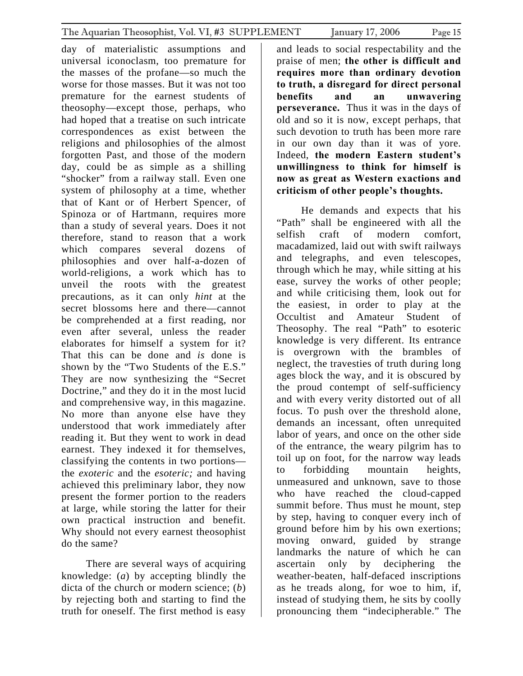day of materialistic assumptions and universal iconoclasm, too premature for the masses of the profane—so much the worse for those masses. But it was not too premature for the earnest students of theosophy—except those, perhaps, who had hoped that a treatise on such intricate correspondences as exist between the religions and philosophies of the almost forgotten Past, and those of the modern day, could be as simple as a shilling "shocker" from a railway stall. Even one system of philosophy at a time, whether that of Kant or of Herbert Spencer, of Spinoza or of Hartmann, requires more than a study of several years. Does it not therefore, stand to reason that a work which compares several dozens of philosophies and over half-a-dozen of world-religions, a work which has to unveil the roots with the greatest precautions, as it can only *hint* at the secret blossoms here and there—cannot be comprehended at a first reading, nor even after several, unless the reader elaborates for himself a system for it? That this can be done and *is* done is shown by the "Two Students of the E.S." They are now synthesizing the "Secret

Doctrine," and they do it in the most lucid and comprehensive way, in this magazine. No more than anyone else have they understood that work immediately after reading it. But they went to work in dead earnest. They indexed it for themselves, classifying the contents in two portions the *exoteric* and the *esoteric;* and having achieved this preliminary labor, they now present the former portion to the readers at large, while storing the latter for their own practical instruction and benefit. Why should not every earnest theosophist do the same?

There are several ways of acquiring knowledge: (*a*) by accepting blindly the dicta of the church or modern science; (*b*) by rejecting both and starting to find the truth for oneself. The first method is easy

and leads to social respectability and the praise of men; **the other is difficult and requires more than ordinary devotion to truth, a disregard for direct personal benefits and an unwavering perseverance.** Thus it was in the days of old and so it is now, except perhaps, that such devotion to truth has been more rare in our own day than it was of yore. Indeed, **the modern Eastern student's unwillingness to think for himself is now as great as Western exactions and criticism of other people's thoughts.**

He demands and expects that his "Path" shall be engineered with all the selfish craft of modern comfort, macadamized, laid out with swift railways and telegraphs, and even telescopes, through which he may, while sitting at his ease, survey the works of other people; and while criticising them, look out for the easiest, in order to play at the Occultist and Amateur Student of Theosophy. The real "Path" to esoteric knowledge is very different. Its entrance is overgrown with the brambles of neglect, the travesties of truth during long ages block the way, and it is obscured by the proud contempt of self-sufficiency and with every verity distorted out of all focus. To push over the threshold alone, demands an incessant, often unrequited labor of years, and once on the other side of the entrance, the weary pilgrim has to toil up on foot, for the narrow way leads to forbidding mountain heights, unmeasured and unknown, save to those who have reached the cloud-capped summit before. Thus must he mount, step by step, having to conquer every inch of ground before him by his own exertions; moving onward, guided by strange landmarks the nature of which he can ascertain only by deciphering the weather-beaten, half-defaced inscriptions as he treads along, for woe to him, if, instead of studying them, he sits by coolly pronouncing them "indecipherable." The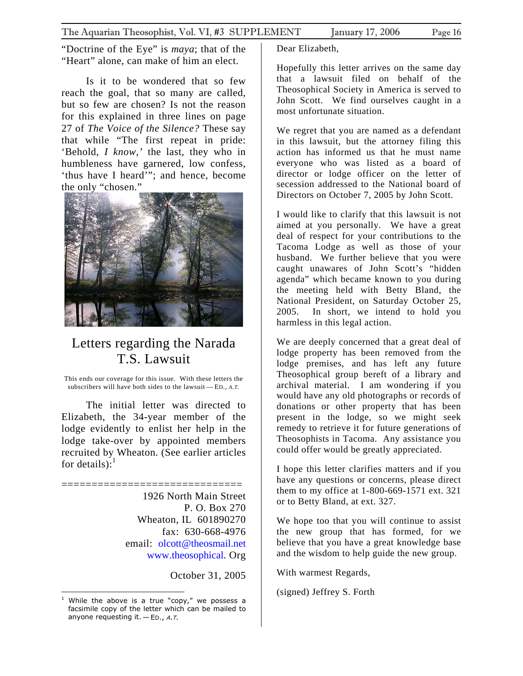"Doctrine of the Eye" is *maya*; that of the "Heart" alone, can make of him an elect.

Is it to be wondered that so few reach the goal, that so many are called, but so few are chosen? Is not the reason for this explained in three lines on page 27 of *The Voice of the Silence?* These say that while "The first repeat in pride: 'Behold, *I know,'* the last, they who in humbleness have garnered, low confess, 'thus have I heard'"; and hence, become the only "chosen."



# Letters regarding the Narada T.S. Lawsuit

This ends our coverage for this issue. With these letters the subscribers will have both sides to the lawsuit — ED., *A.T.* 

The initial letter was directed to Elizabeth, the 34-year member of the lodge evidently to enlist her help in the lodge take-over by appointed members recruited by Wheaton. (See earlier articles for details): $<sup>1</sup>$  $<sup>1</sup>$  $<sup>1</sup>$ </sup>

==============================

1926 North Main Street P. O. Box 270 Wheaton, IL 601890270 fax: 630-668-4976 email: [olcott@theosmail.net](mailto:olcott@theosmail.net) [www.theosophical.](http://www.theosophical/) Org

October 31, 2005

1

Dear Elizabeth,

Hopefully this letter arrives on the same day that a lawsuit filed on behalf of the Theosophical Society in America is served to John Scott. We find ourselves caught in a most unfortunate situation.

We regret that you are named as a defendant in this lawsuit, but the attorney filing this action has informed us that he must name everyone who was listed as a board of director or lodge officer on the letter of secession addressed to the National board of Directors on October 7, 2005 by John Scott.

I would like to clarify that this lawsuit is not aimed at you personally. We have a great deal of respect for your contributions to the Tacoma Lodge as well as those of your husband. We further believe that you were caught unawares of John Scott's "hidden agenda" which became known to you during the meeting held with Betty Bland, the National President, on Saturday October 25, 2005. In short, we intend to hold you harmless in this legal action.

We are deeply concerned that a great deal of lodge property has been removed from the lodge premises, and has left any future Theosophical group bereft of a library and archival material. I am wondering if you would have any old photographs or records of donations or other property that has been present in the lodge, so we might seek remedy to retrieve it for future generations of Theosophists in Tacoma. Any assistance you could offer would be greatly appreciated.

I hope this letter clarifies matters and if you have any questions or concerns, please direct them to my office at 1-800-669-1571 ext. 321 or to Betty Bland, at ext. 327.

We hope too that you will continue to assist the new group that has formed, for we believe that you have a great knowledge base and the wisdom to help guide the new group.

With warmest Regards,

(signed) Jeffrey S. Forth

<span id="page-15-0"></span><sup>1</sup> While the above is a true "copy," we possess a facsimile copy of the letter which can be mailed to anyone requesting it.  $-$  ED., A.T.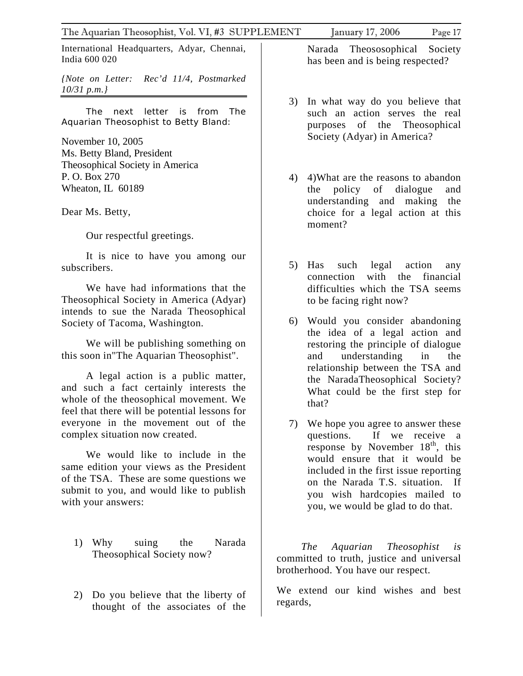International Headquarters, Adyar, Chennai, India 600 020

*{Note on Letter: Rec'd 11/4, Postmarked 10/31 p.m.}* 

The next letter is from *The Aquarian Theosophist to Betty Bland:* 

November 10, 2005 Ms. Betty Bland, President Theosophical Society in America P. O. Box 270 Wheaton, IL 60189

Dear Ms. Betty,

Our respectful greetings.

It is nice to have you among our subscribers.

We have had informations that the Theosophical Society in America (Adyar) intends to sue the Narada Theosophical Society of Tacoma, Washington.

We will be publishing something on this soon in"The Aquarian Theosophist".

A legal action is a public matter, and such a fact certainly interests the whole of the theosophical movement. We feel that there will be potential lessons for everyone in the movement out of the complex situation now created.

We would like to include in the same edition your views as the President of the TSA. These are some questions we submit to you, and would like to publish with your answers:

- 1) Why suing the Narada Theosophical Society now?
- 2) Do you believe that the liberty of thought of the associates of the

Narada Theososophical Society has been and is being respected?

- 3) In what way do you believe that such an action serves the real purposes of the Theosophical Society (Adyar) in America?
- 4) 4)What are the reasons to abandon the policy of dialogue and understanding and making the choice for a legal action at this moment?
- 5) Has such legal action any connection with the financial difficulties which the TSA seems to be facing right now?
- 6) Would you consider abandoning the idea of a legal action and restoring the principle of dialogue and understanding in the relationship between the TSA and the NaradaTheosophical Society? What could be the first step for that?
- 7) We hope you agree to answer these questions. If we receive a response by November  $18<sup>th</sup>$ , this would ensure that it would be included in the first issue reporting on the Narada T.S. situation. If you wish hardcopies mailed to you, we would be glad to do that.

*The Aquarian Theosophist is*  committed to truth, justice and universal brotherhood. You have our respect.

We extend our kind wishes and best regards,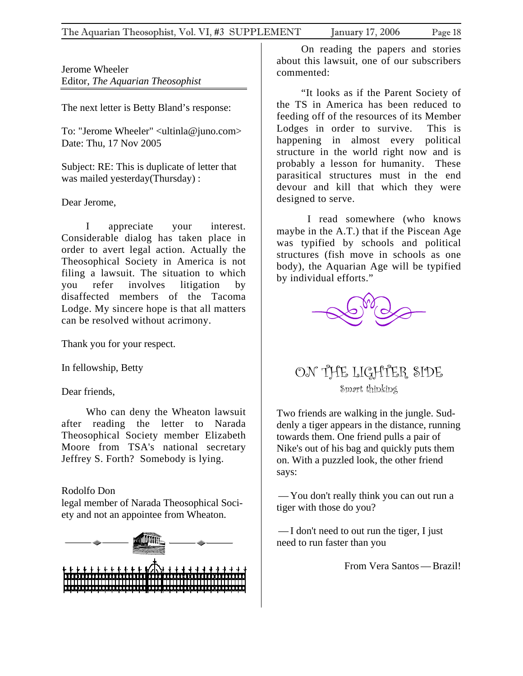<span id="page-17-0"></span>Jerome Wheeler Editor, *The Aquarian Theosophist*

The next letter is Betty Bland's response:

To: "Jerome Wheeler" <ultinla@juno.com> Date: Thu, 17 Nov 2005

Subject: RE: This is duplicate of letter that was mailed yesterday(Thursday) :

Dear Jerome,

I appreciate your interest. Considerable dialog has taken place in order to avert legal action. Actually the Theosophical Society in America is not filing a lawsuit. The situation to which you refer involves litigation by disaffected members of the Tacoma Lodge. My sincere hope is that all matters can be resolved without acrimony.

Thank you for your respect.

In fellowship, Betty

Dear friends,

Who can deny the Wheaton lawsuit after reading the letter to Narada Theosophical Society member Elizabeth Moore from TSA's national secretary Jeffrey S. Forth? Somebody is lying.

## Rodolfo Don

legal member of Narada Theosophical Society and not an appointee from Wheaton.



On reading the papers and stories about this lawsuit, one of our subscribers commented:

"It looks as if the Parent Society of the TS in America has been reduced to feeding off of the resources of its Member Lodges in order to survive. This is happening in almost every political structure in the world right now and is probably a lesson for humanity. These parasitical structures must in the end devour and kill that which they were designed to serve.

I read somewhere (who knows maybe in the A.T.) that if the Piscean Age was typified by schools and political structures (fish move in schools as one body), the Aquarian Age will be typified by individual efforts."



# ON THE LIGHTER SIDE Smart thinking

Two friends are walking in the jungle. Suddenly a tiger appears in the distance, running towards them. One friend pulls a pair of Nike's out of his bag and quickly puts them on. With a puzzled look, the other friend says:

—You don't really think you can out run a tiger with those do you?

—I don't need to out run the tiger, I just need to run faster than you

From Vera Santos—Brazil!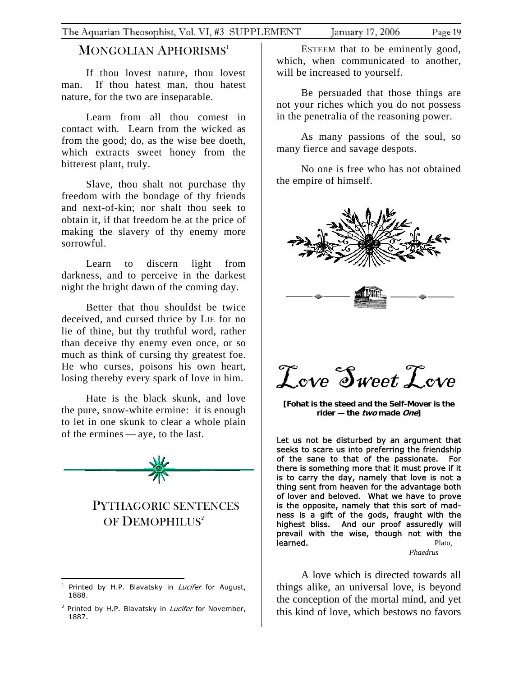## <span id="page-18-0"></span>MONGOLIAN APHORISMS<sup>[1](#page-18-1)</sup>

If thou lovest nature, thou lovest man. If thou hatest man, thou hatest nature, for the two are inseparable.

Learn from all thou comest in contact with. Learn from the wicked as from the good; do, as the wise bee doeth, which extracts sweet honey from the bitterest plant, truly.

Slave, thou shalt not purchase thy freedom with the bondage of thy friends and next-of-kin; nor shalt thou seek to obtain it, if that freedom be at the price of making the slavery of thy enemy more sorrowful.

Learn to discern light from darkness, and to perceive in the darkest night the bright dawn of the coming day.

Better that thou shouldst be twice deceived, and cursed thrice by LIE for no lie of thine, but thy truthful word, rather than deceive thy enemy even once, or so much as think of cursing thy greatest foe. He who curses, poisons his own heart, losing thereby every spark of love in him.

Hate is the black skunk, and love the pure, snow-white ermine: it is enough to let in one skunk to clear a whole plain of the ermines — aye, to the last.



# PYTHAGORIC SENTENCES OF DEMOPHILUS<sup>[2](#page-18-2)</sup>

ESTEEM that to be eminently good, which, when communicated to another, will be increased to yourself.

Be persuaded that those things are not your riches which you do not possess in the penetralia of the reasoning power.

As many passions of the soul, so many fierce and savage despots.

No one is free who has not obtained the empire of himself.



Tove Sweet Tove

**[Fohat is the steed and the Self-Mover is the rider — the two made One]** 

Let us not be disturbed by an argument that seeks to scare us into preferring the friendship of the sane to that of the passionate. For there is something more that it must prove if it is to carry the day, namely that love is not a thing sent from heaven for the advantage both of lover and beloved. What we have to prove is the opposite, namely that this sort of madness is a gift of the gods, fraught with the highest bliss. And our proof assuredly will prevail with the wise, though not with the **learned.** Plato,

*Phaedrus*

A love which is directed towards all things alike, an universal love, is beyond the conception of the mortal mind, and yet this kind of love, which bestows no favors

<span id="page-18-1"></span> $\overline{a}$ Printed by H.P. Blavatsky in Lucifer for August, 1888.

<span id="page-18-2"></span><sup>&</sup>lt;sup>2</sup> Printed by H.P. Blavatsky in *Lucifer* for November, 1887.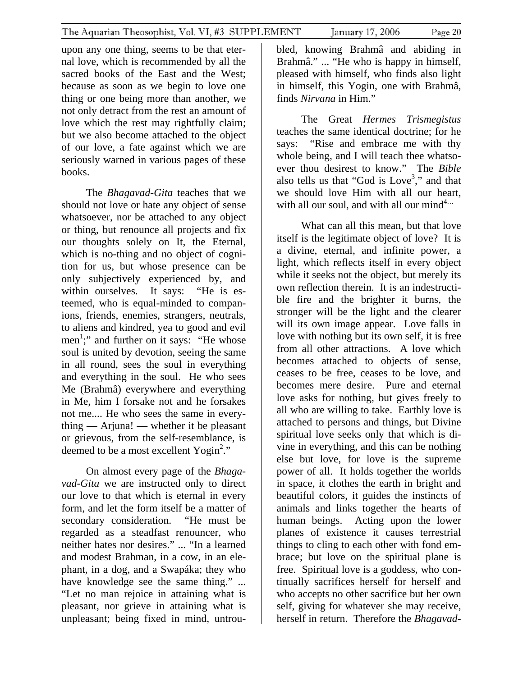upon any one thing, seems to be that eternal love, which is recommended by all the sacred books of the East and the West; because as soon as we begin to love one thing or one being more than another, we not only detract from the rest an amount of love which the rest may rightfully claim; but we also become attached to the object of our love, a fate against which we are seriously warned in various pages of these books.

The *Bhagavad-Gita* teaches that we should not love or hate any object of sense whatsoever, nor be attached to any object or thing, but renounce all projects and fix our thoughts solely on It, the Eternal, which is no-thing and no object of cognition for us, but whose presence can be only subjectively experienced by, and within ourselves. It says: "He is esteemed, who is equal-minded to companions, friends, enemies, strangers, neutrals, to aliens and kindred, yea to good and evil men<sup>1</sup>;" and further on it says: "He whose soul is united by devotion, seeing the same in all round, sees the soul in everything and everything in the soul. He who sees Me (Brahmâ) everywhere and everything in Me, him I forsake not and he forsakes not me.... He who sees the same in everything — Arjuna! — whether it be pleasant or grievous, from the self-resemblance, is deemed to be a most excellent Yogin<sup>2</sup>."

On almost every page of the *Bhagavad-Gita* we are instructed only to direct our love to that which is eternal in every form, and let the form itself be a matter of secondary consideration. "He must be regarded as a steadfast renouncer, who neither hates nor desires." ... "In a learned and modest Brahman, in a cow, in an elephant, in a dog, and a Swapáka; they who have knowledge see the same thing." ... "Let no man rejoice in attaining what is pleasant, nor grieve in attaining what is unpleasant; being fixed in mind, untrou-

bled, knowing Brahmâ and abiding in Brahmâ." ... "He who is happy in himself, pleased with himself, who finds also light in himself, this Yogin, one with Brahmâ, finds *Nirvana* in Him."

The Great *Hermes Trismegistus* teaches the same identical doctrine; for he says: "Rise and embrace me with thy whole being, and I will teach thee whatsoever thou desirest to know." The *Bible* also tells us that "God is  $Love<sup>3</sup>$ ," and that we should love Him with all our heart, with all our soul, and with all our mind<sup>4...</sup>

What can all this mean, but that love itself is the legitimate object of love? It is a divine, eternal, and infinite power, a light, which reflects itself in every object while it seeks not the object, but merely its own reflection therein. It is an indestructible fire and the brighter it burns, the stronger will be the light and the clearer will its own image appear. Love falls in love with nothing but its own self, it is free from all other attractions. A love which becomes attached to objects of sense, ceases to be free, ceases to be love, and becomes mere desire. Pure and eternal love asks for nothing, but gives freely to all who are willing to take. Earthly love is attached to persons and things, but Divine spiritual love seeks only that which is divine in everything, and this can be nothing else but love, for love is the supreme power of all. It holds together the worlds in space, it clothes the earth in bright and beautiful colors, it guides the instincts of animals and links together the hearts of human beings. Acting upon the lower planes of existence it causes terrestrial things to cling to each other with fond embrace; but love on the spiritual plane is free. Spiritual love is a goddess, who continually sacrifices herself for herself and who accepts no other sacrifice but her own self, giving for whatever she may receive, herself in return. Therefore the *Bhagavad-*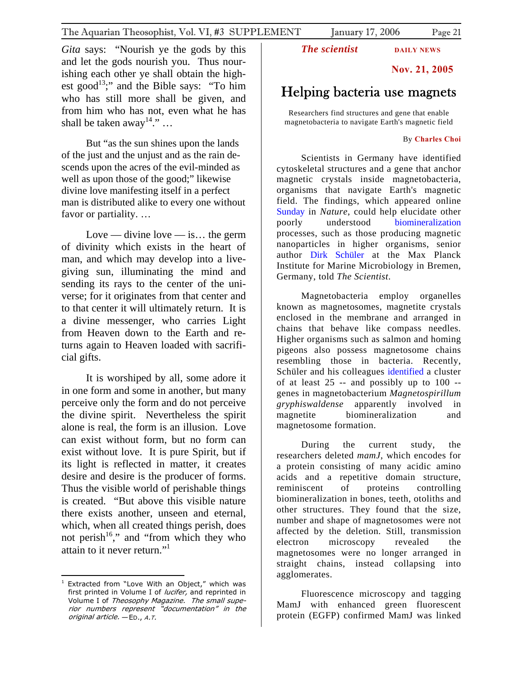<span id="page-20-0"></span>*Gita* says: "Nourish ye the gods by this and let the gods nourish you. Thus nourishing each other ye shall obtain the highest good<sup>13</sup>;" and the Bible says: "To him who has still more shall be given, and from him who has not, even what he has shall be taken away<sup>14</sup>." ...

But "as the sun shines upon the lands of the just and the unjust and as the rain descends upon the acres of the evil-minded as well as upon those of the good;" likewise divine love manifesting itself in a perfect man is distributed alike to every one without favor or partiality. …

Love — divine love — is... the germ of divinity which exists in the heart of man, and which may develop into a livegiving sun, illuminating the mind and sending its rays to the center of the universe; for it originates from that center and to that center it will ultimately return. It is a divine messenger, who carries Light from Heaven down to the Earth and returns again to Heaven loaded with sacrificial gifts.

It is worshiped by all, some adore it in one form and some in another, but many perceive only the form and do not perceive the divine spirit. Nevertheless the spirit alone is real, the form is an illusion. Love can exist without form, but no form can exist without love. It is pure Spirit, but if its light is reflected in matter, it creates desire and desire is the producer of forms. Thus the visible world of perishable things is created. "But above this visible nature there exists another, unseen and eternal, which, when all created things perish, does not perish<sup>16</sup>," and "from which they who attain to it never return."<sup>1</sup>

*The scientist* **DAILY NEWS** 

## **Nov. 21, 2005**

# Helping bacteria use magnets

Researchers find structures and gene that enable magnetobacteria to navigate Earth's magnetic field

#### By **[Charles Choi](mailto:cqchoi@nasw.org)**

Scientists in Germany have identified cytoskeletal structures and a gene that anchor magnetic crystals inside magnetobacteria, organisms that navigate Earth's magnetic field. The findings, which appeared online [Sunday](http://www.nature.com/) in *Nature*, could help elucidate other poorly understood [biomineralization](http://www.the-scientist.com/2000/11/27/18/1) processes, such as those producing magnetic nanoparticles in higher organisms, senior author [Dirk Schüler](http://magnum.mpi-bremen.de/magneto/) at the Max Planck Institute for Marine Microbiology in Bremen, Germany, told *The Scientist*.

Magnetobacteria employ organelles known as magnetosomes, magnetite crystals enclosed in the membrane and arranged in chains that behave like compass needles. Higher organisms such as salmon and homing pigeons also possess magnetosome chains resembling those in bacteria. Recently, Schüler and his colleagues [identified](http://www.biomedcentral.com/pubmed/16237001) a cluster of at least  $25$  -- and possibly up to  $100$  -genes in magnetobacterium *Magnetospirillum gryphiswaldense* apparently involved in magnetite biomineralization and magnetosome formation.

During the current study, the researchers deleted *mamJ*, which encodes for a protein consisting of many acidic amino acids and a repetitive domain structure, reminiscent of proteins controlling biomineralization in bones, teeth, otoliths and other structures. They found that the size, number and shape of magnetosomes were not affected by the deletion. Still, transmission electron microscopy revealed the magnetosomes were no longer arranged in straight chains, instead collapsing into agglomerates.

Fluorescence microscopy and tagging MamJ with enhanced green fluorescent protein (EGFP) confirmed MamJ was linked

<span id="page-20-1"></span> $\overline{a}$ first printed in Volume I of *lucifer*, and reprinted in *original article.* — ED., A.T. <sup>1</sup> Extracted from "Love With an Object," which was Volume I of Theosophy Magazine. The small superior numbers represent "documentation" in the